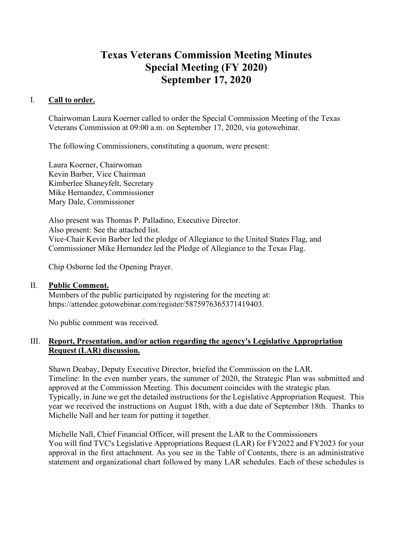# **Texas Veterans Commission Meeting Minutes Special Meeting (FY 2020) September 17, 2020**

## I. **Call to order.**

Chairwoman Laura Koerner called to order the Special Commission Meeting of the Texas Veterans Commission at 09:00 a.m. on September 17, 2020, via gotowebinar.

The following Commissioners, constituting a quorum, were present:

Laura Koerner, Chairwoman Kevin Barber, Vice Chairman Kimberlee Shaneyfelt, Secretary Mike Hernandez, Commissioner Mary Dale, Commissioner

Also present was Thomas P. Palladino, Executive Director. Also present: See the attached list. Vice-Chair Kevin Barber led the pledge of Allegiance to the United States Flag, and Commissioner Mike Hernandez led the Pledge of Allegiance to the Texas Flag.

Chip Osborne led the Opening Prayer.

### II. **Public Comment.**

Members of the public participated by registering for the meeting at: https://attendee.gotowebinar.com/register/5875976365371419403.

No public comment was received.

## III. **Report, Presentation, and/or action regarding the agency's Legislative Appropriation Request (LAR) discussion.**

Shawn Deabay, Deputy Executive Director, briefed the Commission on the LAR. Timeline: In the even number years, the summer of 2020, the Strategic Plan was submitted and approved at the Commission Meeting. This document coincides with the strategic plan. Typically, in June we get the detailed instructions for the Legislative Appropriation Request. This year we received the instructions on August 18th, with a due date of September 18th. Thanks to Michelle Nall and her team for putting it together.

Michelle Nall, Chief Financial Officer, will present the LAR to the Commissioners You will find TVC's Legislative Appropriations Request (LAR) for FY2022 and FY2023 for your approval in the first attachment. As you see in the Table of Contents, there is an administrative statement and organizational chart followed by many LAR schedules. Each of these schedules is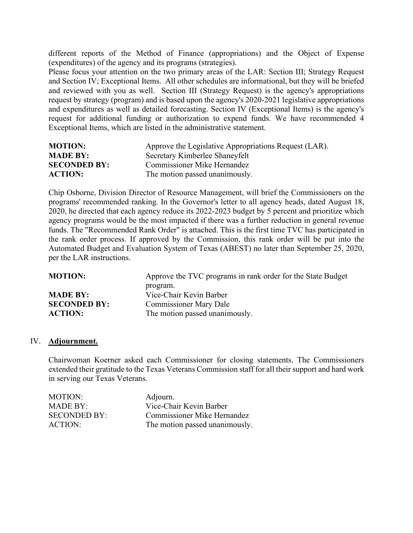different reports of the Method of Finance (appropriations) and the Object of Expense (expenditures) of the agency and its programs (strategies).

Please focus your attention on the two primary areas of the LAR: Section III; Strategy Request and Section IV; Exceptional Items. All other schedules are informational, but they will be briefed and reviewed with you as well. Section III (Strategy Request) is the agency's appropriations request by strategy (program) and is based upon the agency's 2020-2021 legislative appropriations and expenditures as well as detailed forecasting. Section IV (Exceptional Items) is the agency's request for additional funding or authorization to expend funds. We have recommended 4 Exceptional Items, which are listed in the administrative statement.

| <b>MOTION:</b>      | Approve the Legislative Appropriations Request (LAR). |
|---------------------|-------------------------------------------------------|
| <b>MADE BY:</b>     | Secretary Kimberlee Shaneyfelt                        |
| <b>SECONDED BY:</b> | Commissioner Mike Hernandez                           |
| <b>ACTION:</b>      | The motion passed unanimously.                        |

Chip Osborne, Division Director of Resource Management, will brief the Commissioners on the programs' recommended ranking. In the Governor's letter to all agency heads, dated August 18, 2020, he directed that each agency reduce its 2022-2023 budget by 5 percent and prioritize which agency programs would be the most impacted if there was a further reduction in general revenue funds. The "Recommended Rank Order" is attached. This is the first time TVC has participated in the rank order process. If approved by the Commission, this rank order will be put into the Automated Budget and Evaluation System of Texas (ABEST) no later than September 25, 2020, per the LAR instructions.

| <b>MOTION:</b>      | Approve the TVC programs in rank order for the State Budget |
|---------------------|-------------------------------------------------------------|
|                     | program.                                                    |
| <b>MADE BY:</b>     | Vice-Chair Kevin Barber                                     |
| <b>SECONDED BY:</b> | <b>Commissioner Mary Dale</b>                               |
| <b>ACTION:</b>      | The motion passed unanimously.                              |

#### IV. **Adjournment.**

Chairwoman Koerner asked each Commissioner for closing statements. The Commissioners extended their gratitude to the Texas Veterans Commission staff for all their support and hard work in serving our Texas Veterans.

| MOTION:             | Adjourn.                       |
|---------------------|--------------------------------|
| MADE BY:            | Vice-Chair Kevin Barber        |
| <b>SECONDED BY:</b> | Commissioner Mike Hernandez    |
| ACTION:             | The motion passed unanimously. |